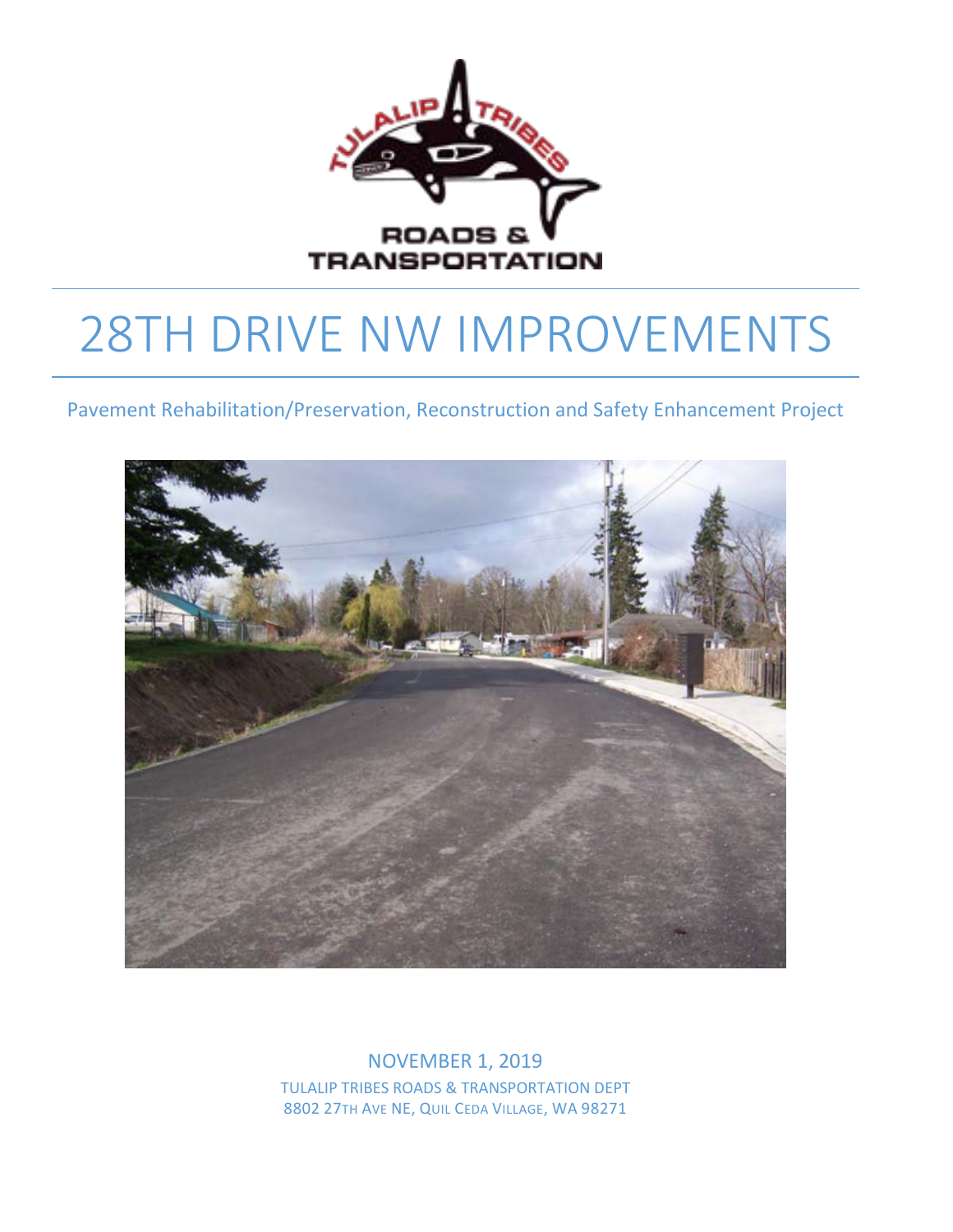

# 28TH DRIVE NW IMPROVEMENTS

Pavement Rehabilitation/Preservation, Reconstruction and Safety Enhancement Project



NOVEMBER 1, 2019 TULALIP TRIBES ROADS & TRANSPORTATION DEPT 8802 27TH AVE NE, QUIL CEDA VILLAGE, WA 98271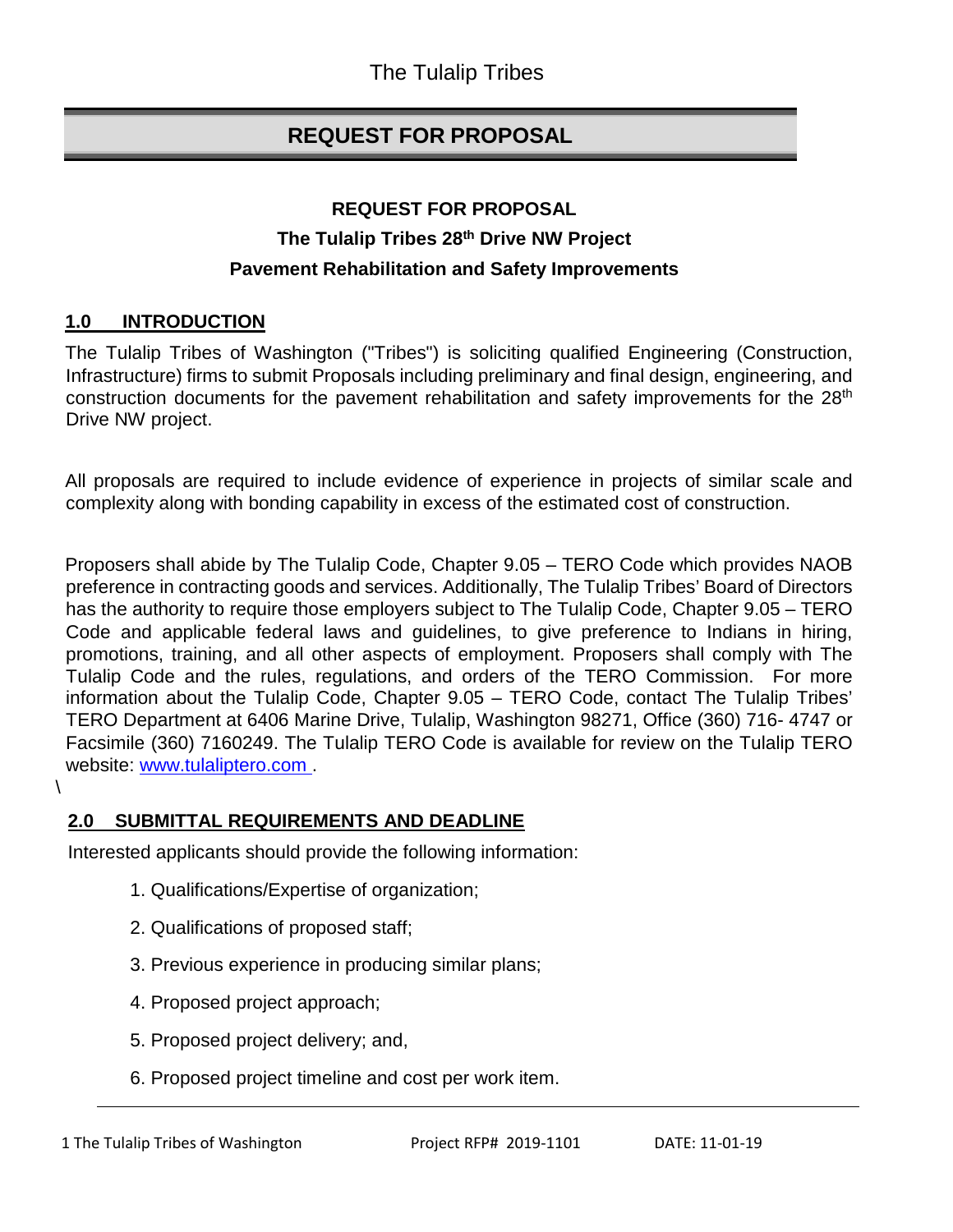# **REQUEST FOR PROPOSAL**

# **REQUEST FOR PROPOSAL The Tulalip Tribes 28th Drive NW Project Pavement Rehabilitation and Safety Improvements**

## **1.0 INTRODUCTION**

The Tulalip Tribes of Washington ("Tribes") is soliciting qualified Engineering (Construction, Infrastructure) firms to submit Proposals including preliminary and final design, engineering, and construction documents for the pavement rehabilitation and safety improvements for the 28<sup>th</sup> Drive NW project.

All proposals are required to include evidence of experience in projects of similar scale and complexity along with bonding capability in excess of the estimated cost of construction.

Proposers shall abide by The Tulalip Code, Chapter 9.05 – TERO Code which provides NAOB preference in contracting goods and services. Additionally, The Tulalip Tribes' Board of Directors has the authority to require those employers subject to The Tulalip Code, Chapter 9.05 – TERO Code and applicable federal laws and guidelines, to give preference to Indians in hiring, promotions, training, and all other aspects of employment. Proposers shall comply with The Tulalip Code and the rules, regulations, and orders of the TERO Commission. For more information about the Tulalip Code, Chapter 9.05 – TERO Code, contact The Tulalip Tribes' TERO Department at 6406 Marine Drive, Tulalip, Washington 98271, Office (360) 716- 4747 or Facsimile (360) 7160249. The Tulalip TERO Code is available for review on the Tulalip TERO website: [www.tulaliptero.com](http://www.tulaliptero.com/) [.](http://www.tulaliptero.com/)

## **2.0 SUBMITTAL REQUIREMENTS AND DEADLINE**

Interested applicants should provide the following information:

- 1. Qualifications/Expertise of organization;
- 2. Qualifications of proposed staff;
- 3. Previous experience in producing similar plans;
- 4. Proposed project approach;
- 5. Proposed project delivery; and,
- 6. Proposed project timeline and cost per work item.

 $\lambda$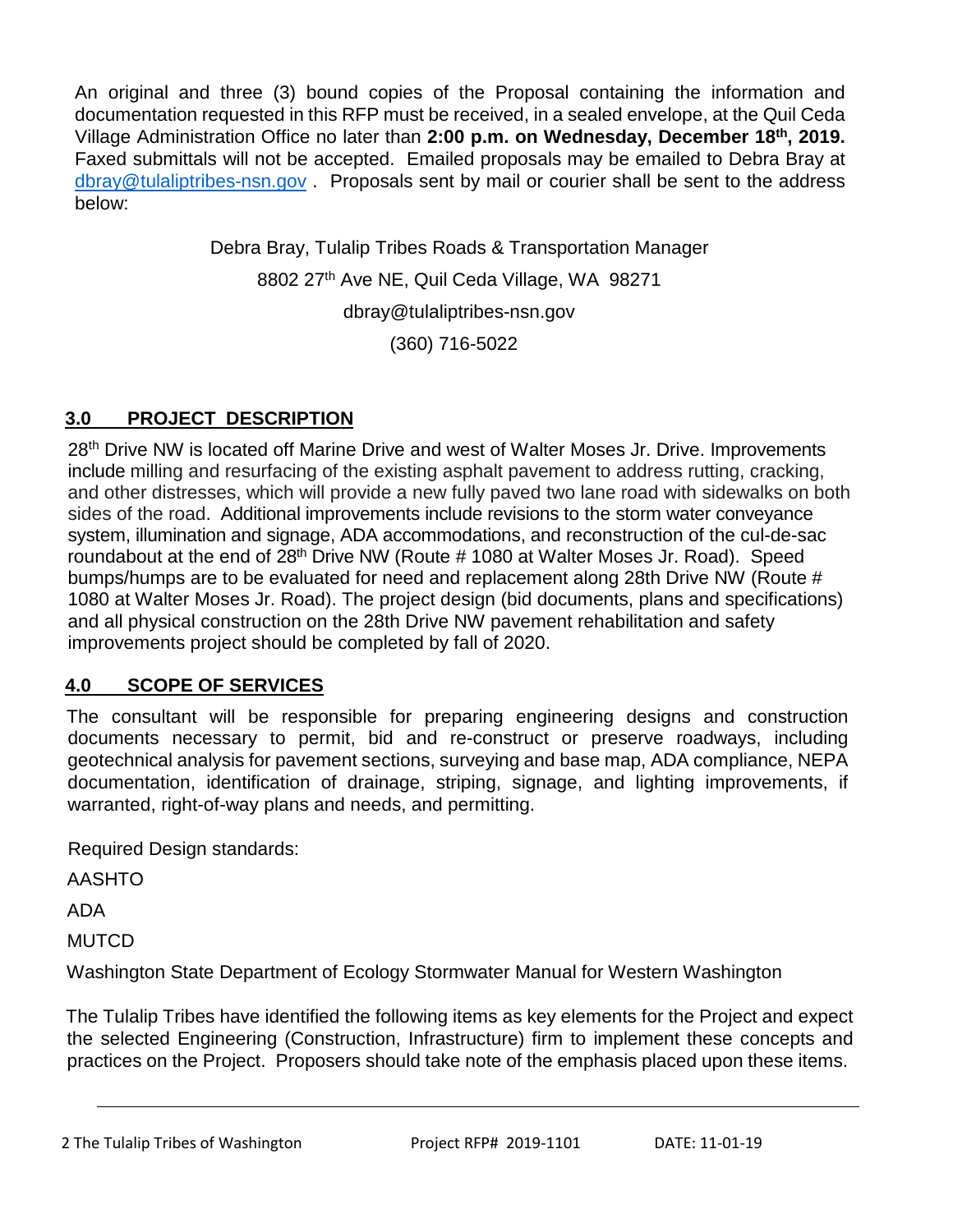An original and three (3) bound copies of the Proposal containing the information and documentation requested in this RFP must be received, in a sealed envelope, at the Quil Ceda Village Administration Office no later than **2:00 p.m. on Wednesday, December 18th, 2019.** Faxed submittals will not be accepted. Emailed proposals may be emailed to Debra Bray at [dbray@tulaliptribes-nsn.gov](mailto:dbray@tulaliptribes-nsn.gov) . Proposals sent by mail or courier shall be sent to the address below:

> Debra Bray, Tulalip Tribes Roads & Transportation Manager 8802 27<sup>th</sup> Ave NE, Quil Ceda Village, WA 98271 [dbray@tulaliptribes-nsn.gov](mailto:dbray@tulaliptribes-nsn.gov) (360) 716-5022

# **3.0 PROJECT DESCRIPTION**

28<sup>th</sup> Drive NW is located off Marine Drive and west of Walter Moses Jr. Drive. Improvements include milling and resurfacing of the existing asphalt pavement to address rutting, cracking, and other distresses, which will provide a new fully paved two lane road with sidewalks on both sides of the road. Additional improvements include revisions to the storm water conveyance system, illumination and signage, ADA accommodations, and reconstruction of the cul-de-sac roundabout at the end of 28<sup>th</sup> Drive NW (Route # 1080 at Walter Moses Jr. Road). Speed bumps/humps are to be evaluated for need and replacement along 28th Drive NW (Route # 1080 at Walter Moses Jr. Road). The project design (bid documents, plans and specifications) and all physical construction on the 28th Drive NW pavement rehabilitation and safety improvements project should be completed by fall of 2020.

## **4.0 SCOPE OF SERVICES**

The consultant will be responsible for preparing engineering designs and construction documents necessary to permit, bid and re-construct or preserve roadways, including geotechnical analysis for pavement sections, surveying and base map, ADA compliance, NEPA documentation, identification of drainage, striping, signage, and lighting improvements, if warranted, right-of-way plans and needs, and permitting.

Required Design standards:

AASHTO

ADA

**MUTCD** 

Washington State Department of Ecology Stormwater Manual for Western Washington

The Tulalip Tribes have identified the following items as key elements for the Project and expect the selected Engineering (Construction, Infrastructure) firm to implement these concepts and practices on the Project. Proposers should take note of the emphasis placed upon these items.

2 The Tulalip Tribes of Washington Project RFP# 2019-1101 DATE: 11-01-19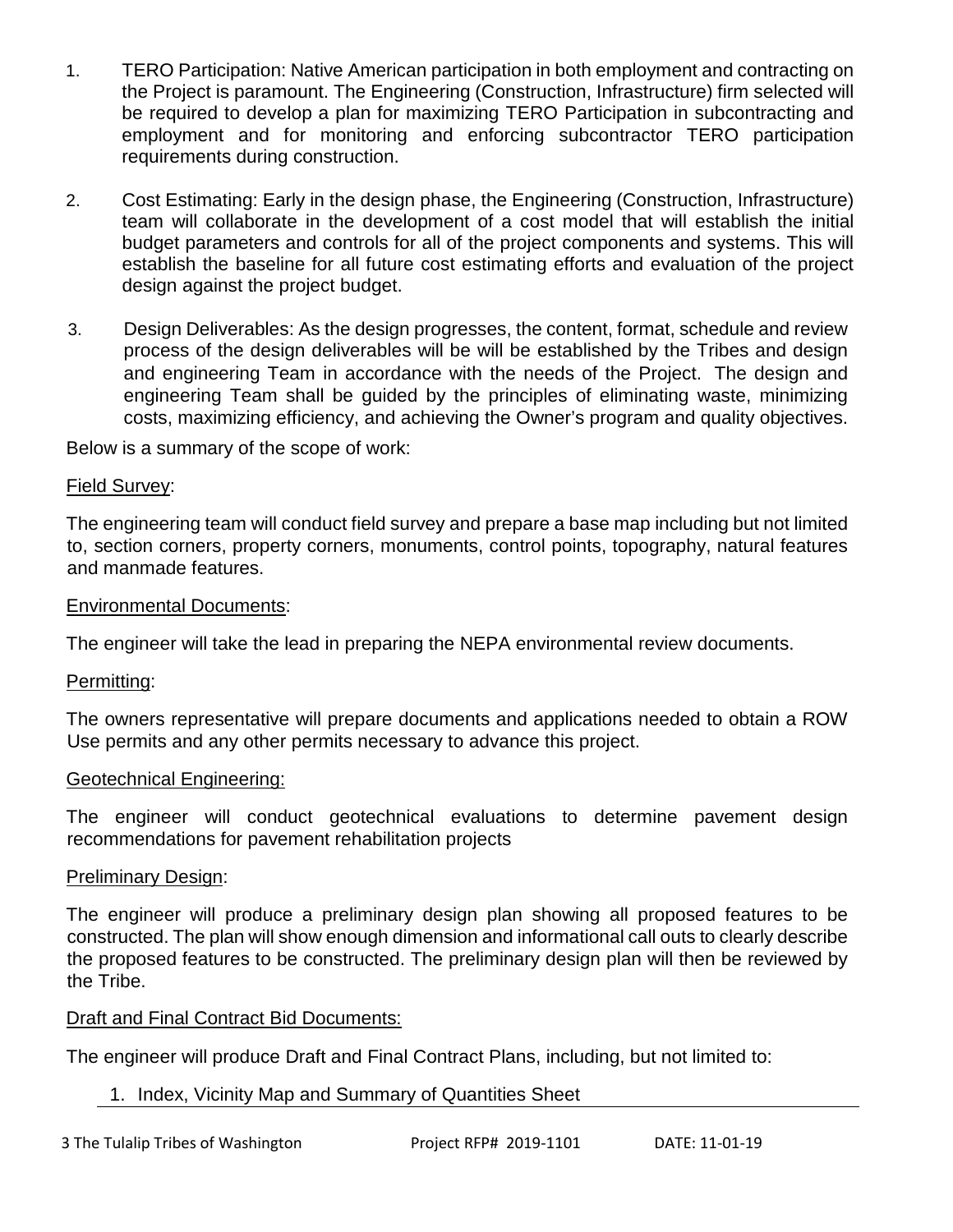- 1. TERO Participation: Native American participation in both employment and contracting on the Project is paramount. The Engineering (Construction, Infrastructure) firm selected will be required to develop a plan for maximizing TERO Participation in subcontracting and employment and for monitoring and enforcing subcontractor TERO participation requirements during construction.
- 2. Cost Estimating: Early in the design phase, the Engineering (Construction, Infrastructure) team will collaborate in the development of a cost model that will establish the initial budget parameters and controls for all of the project components and systems. This will establish the baseline for all future cost estimating efforts and evaluation of the project design against the project budget.
- 3. Design Deliverables: As the design progresses, the content, format, schedule and review process of the design deliverables will be will be established by the Tribes and design and engineering Team in accordance with the needs of the Project. The design and engineering Team shall be guided by the principles of eliminating waste, minimizing costs, maximizing efficiency, and achieving the Owner's program and quality objectives.

Below is a summary of the scope of work:

#### Field Survey:

The engineering team will conduct field survey and prepare a base map including but not limited to, section corners, property corners, monuments, control points, topography, natural features and manmade features.

#### Environmental Documents:

The engineer will take the lead in preparing the NEPA environmental review documents.

#### Permitting:

The owners representative will prepare documents and applications needed to obtain a ROW Use permits and any other permits necessary to advance this project.

#### Geotechnical Engineering:

The engineer will conduct geotechnical evaluations to determine pavement design recommendations for pavement rehabilitation projects

#### Preliminary Design:

The engineer will produce a preliminary design plan showing all proposed features to be constructed. The plan will show enough dimension and informational call outs to clearly describe the proposed features to be constructed. The preliminary design plan will then be reviewed by the Tribe.

## Draft and Final Contract Bid Documents:

The engineer will produce Draft and Final Contract Plans, including, but not limited to:

## 1. Index, Vicinity Map and Summary of Quantities Sheet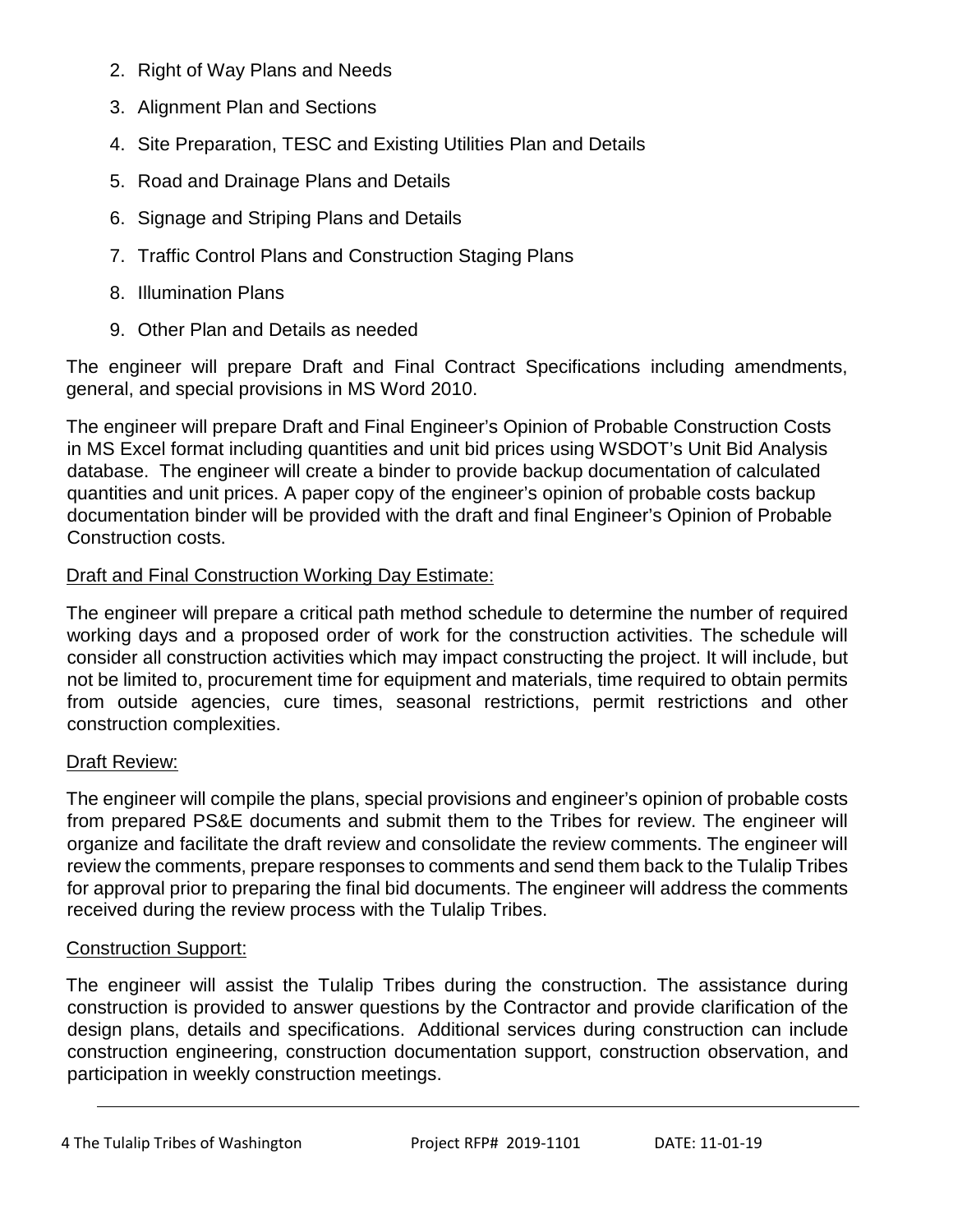- 2. Right of Way Plans and Needs
- 3. Alignment Plan and Sections
- 4. Site Preparation, TESC and Existing Utilities Plan and Details
- 5. Road and Drainage Plans and Details
- 6. Signage and Striping Plans and Details
- 7. Traffic Control Plans and Construction Staging Plans
- 8. Illumination Plans
- 9. Other Plan and Details as needed

The engineer will prepare Draft and Final Contract Specifications including amendments, general, and special provisions in MS Word 2010.

The engineer will prepare Draft and Final Engineer's Opinion of Probable Construction Costs in MS Excel format including quantities and unit bid prices using WSDOT's Unit Bid Analysis database. The engineer will create a binder to provide backup documentation of calculated quantities and unit prices. A paper copy of the engineer's opinion of probable costs backup documentation binder will be provided with the draft and final Engineer's Opinion of Probable Construction costs.

## Draft and Final Construction Working Day Estimate:

The engineer will prepare a critical path method schedule to determine the number of required working days and a proposed order of work for the construction activities. The schedule will consider all construction activities which may impact constructing the project. It will include, but not be limited to, procurement time for equipment and materials, time required to obtain permits from outside agencies, cure times, seasonal restrictions, permit restrictions and other construction complexities.

## Draft Review:

The engineer will compile the plans, special provisions and engineer's opinion of probable costs from prepared PS&E documents and submit them to the Tribes for review. The engineer will organize and facilitate the draft review and consolidate the review comments. The engineer will review the comments, prepare responses to comments and send them back to the Tulalip Tribes for approval prior to preparing the final bid documents. The engineer will address the comments received during the review process with the Tulalip Tribes.

## Construction Support:

The engineer will assist the Tulalip Tribes during the construction. The assistance during construction is provided to answer questions by the Contractor and provide clarification of the design plans, details and specifications. Additional services during construction can include construction engineering, construction documentation support, construction observation, and participation in weekly construction meetings.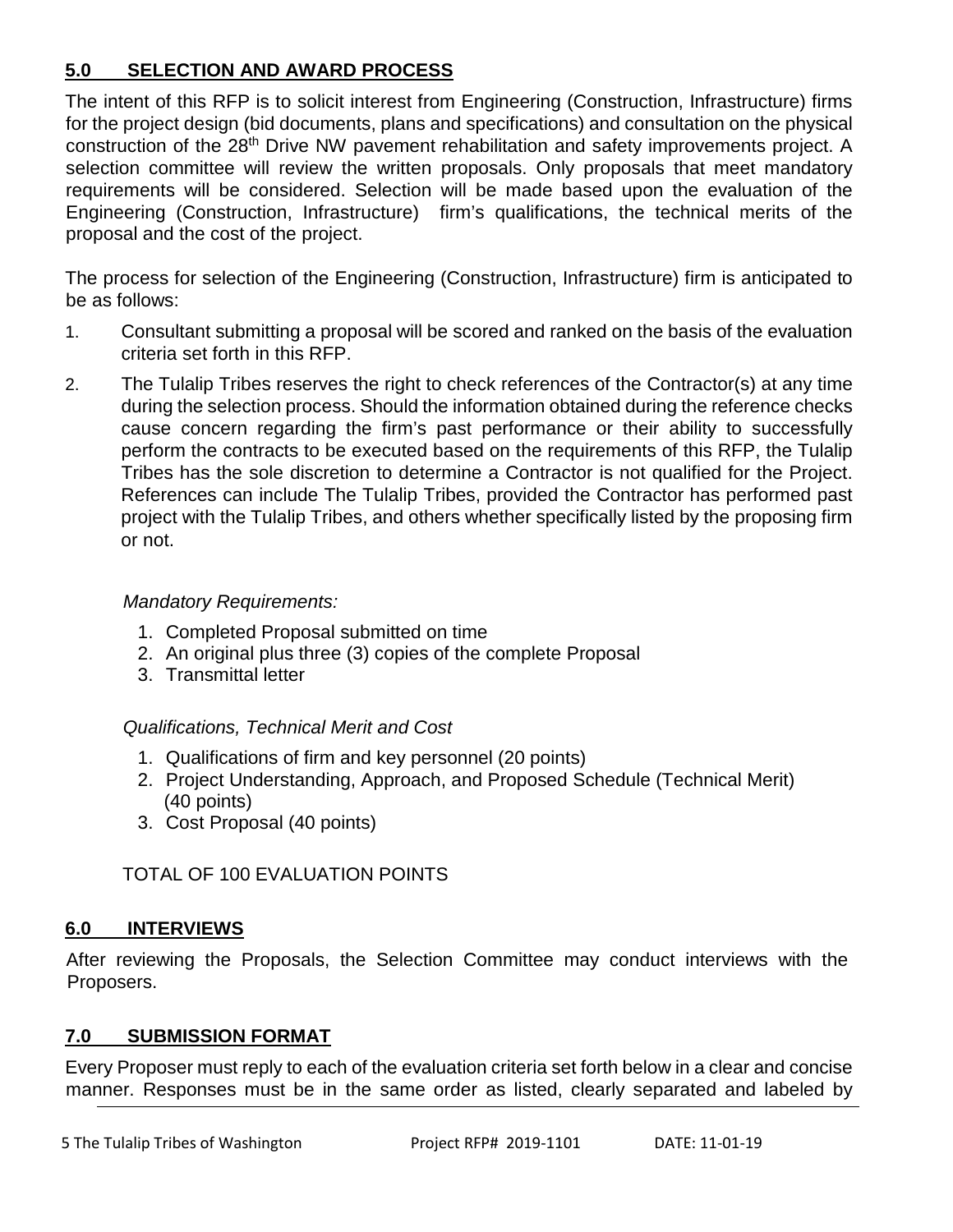## **5.0 SELECTION AND AWARD PROCESS**

The intent of this RFP is to solicit interest from Engineering (Construction, Infrastructure) firms for the project design (bid documents, plans and specifications) and consultation on the physical construction of the 28<sup>th</sup> Drive NW pavement rehabilitation and safety improvements project. A selection committee will review the written proposals. Only proposals that meet mandatory requirements will be considered. Selection will be made based upon the evaluation of the Engineering (Construction, Infrastructure) firm's qualifications, the technical merits of the proposal and the cost of the project.

The process for selection of the Engineering (Construction, Infrastructure) firm is anticipated to be as follows:

- 1. Consultant submitting a proposal will be scored and ranked on the basis of the evaluation criteria set forth in this RFP.
- 2. The Tulalip Tribes reserves the right to check references of the Contractor(s) at any time during the selection process. Should the information obtained during the reference checks cause concern regarding the firm's past performance or their ability to successfully perform the contracts to be executed based on the requirements of this RFP, the Tulalip Tribes has the sole discretion to determine a Contractor is not qualified for the Project. References can include The Tulalip Tribes, provided the Contractor has performed past project with the Tulalip Tribes, and others whether specifically listed by the proposing firm or not.

## *Mandatory Requirements:*

- 1. Completed Proposal submitted on time
- 2. An original plus three (3) copies of the complete Proposal
- 3. Transmittal letter

## *Qualifications, Technical Merit and Cost*

- 1. Qualifications of firm and key personnel (20 points)
- 2. Project Understanding, Approach, and Proposed Schedule (Technical Merit) (40 points)
- 3. Cost Proposal (40 points)

## TOTAL OF 100 EVALUATION POINTS

## **6.0 INTERVIEWS**

After reviewing the Proposals, the Selection Committee may conduct interviews with the Proposers.

## **7.0 SUBMISSION FORMAT**

Every Proposer must reply to each of the evaluation criteria set forth below in a clear and concise manner. Responses must be in the same order as listed, clearly separated and labeled by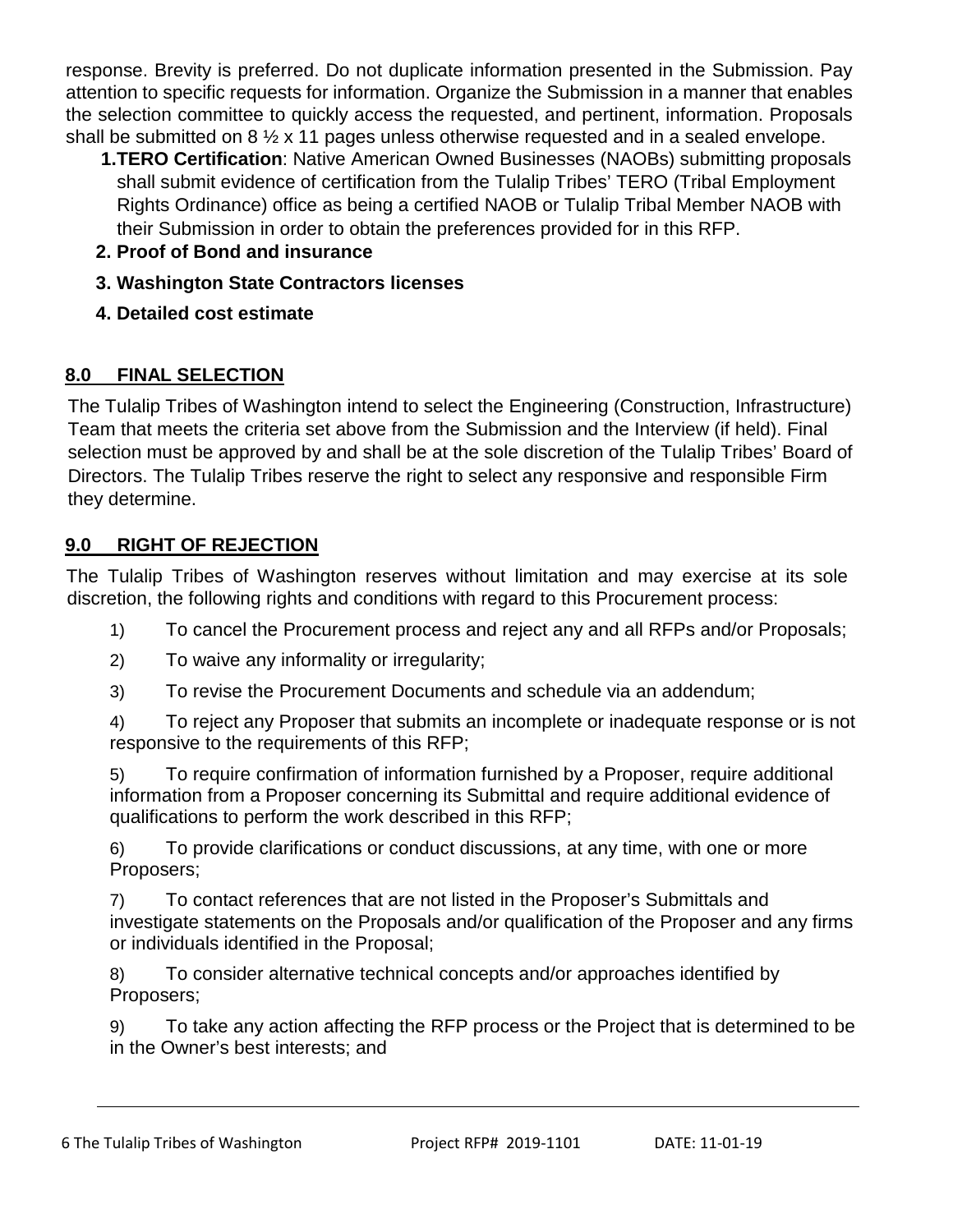response. Brevity is preferred. Do not duplicate information presented in the Submission. Pay attention to specific requests for information. Organize the Submission in a manner that enables the selection committee to quickly access the requested, and pertinent, information. Proposals shall be submitted on 8 ½ x 11 pages unless otherwise requested and in a sealed envelope.

- **1.TERO Certification**: Native American Owned Businesses (NAOBs) submitting proposals shall submit evidence of certification from the Tulalip Tribes' TERO (Tribal Employment Rights Ordinance) office as being a certified NAOB or Tulalip Tribal Member NAOB with their Submission in order to obtain the preferences provided for in this RFP.
- **2. Proof of Bond and insurance**
- **3. Washington State Contractors licenses**
- **4. Detailed cost estimate**

# **8.0 FINAL SELECTION**

The Tulalip Tribes of Washington intend to select the Engineering (Construction, Infrastructure) Team that meets the criteria set above from the Submission and the Interview (if held). Final selection must be approved by and shall be at the sole discretion of the Tulalip Tribes' Board of Directors. The Tulalip Tribes reserve the right to select any responsive and responsible Firm they determine.

# **9.0 RIGHT OF REJECTION**

The Tulalip Tribes of Washington reserves without limitation and may exercise at its sole discretion, the following rights and conditions with regard to this Procurement process:

- 1) To cancel the Procurement process and reject any and all RFPs and/or Proposals;
- 2) To waive any informality or irregularity;
- 3) To revise the Procurement Documents and schedule via an addendum;
- 4) To reject any Proposer that submits an incomplete or inadequate response or is not responsive to the requirements of this RFP;

5) To require confirmation of information furnished by a Proposer, require additional information from a Proposer concerning its Submittal and require additional evidence of qualifications to perform the work described in this RFP;

6) To provide clarifications or conduct discussions, at any time, with one or more Proposers;

7) To contact references that are not listed in the Proposer's Submittals and investigate statements on the Proposals and/or qualification of the Proposer and any firms or individuals identified in the Proposal;

8) To consider alternative technical concepts and/or approaches identified by Proposers;

9) To take any action affecting the RFP process or the Project that is determined to be in the Owner's best interests; and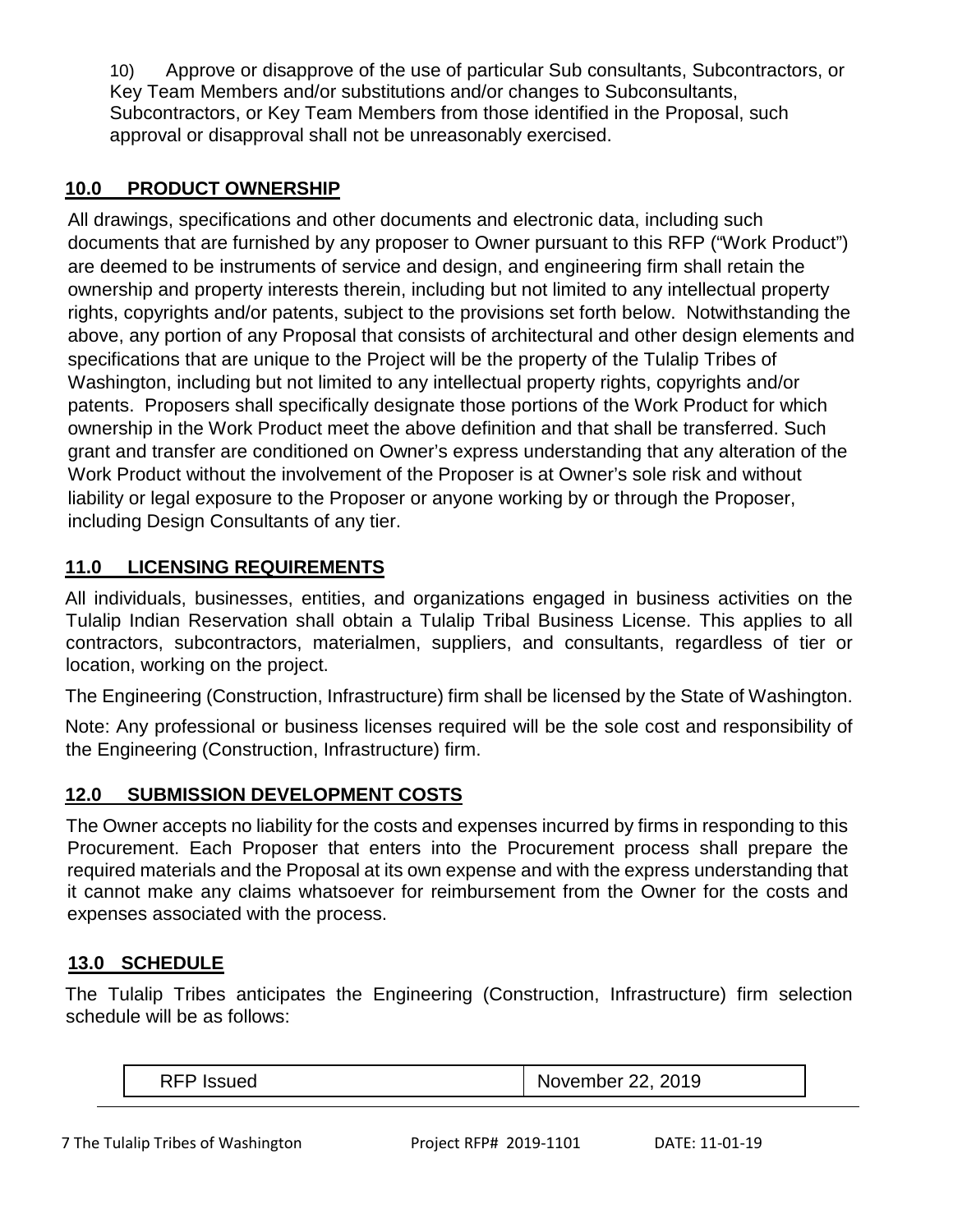10) Approve or disapprove of the use of particular Sub consultants, Subcontractors, or Key Team Members and/or substitutions and/or changes to Subconsultants, Subcontractors, or Key Team Members from those identified in the Proposal, such approval or disapproval shall not be unreasonably exercised.

## **10.0 PRODUCT OWNERSHIP**

All drawings, specifications and other documents and electronic data, including such documents that are furnished by any proposer to Owner pursuant to this RFP ("Work Product") are deemed to be instruments of service and design, and engineering firm shall retain the ownership and property interests therein, including but not limited to any intellectual property rights, copyrights and/or patents, subject to the provisions set forth below. Notwithstanding the above, any portion of any Proposal that consists of architectural and other design elements and specifications that are unique to the Project will be the property of the Tulalip Tribes of Washington, including but not limited to any intellectual property rights, copyrights and/or patents. Proposers shall specifically designate those portions of the Work Product for which ownership in the Work Product meet the above definition and that shall be transferred. Such grant and transfer are conditioned on Owner's express understanding that any alteration of the Work Product without the involvement of the Proposer is at Owner's sole risk and without liability or legal exposure to the Proposer or anyone working by or through the Proposer, including Design Consultants of any tier.

# **11.0 LICENSING REQUIREMENTS**

All individuals, businesses, entities, and organizations engaged in business activities on the Tulalip Indian Reservation shall obtain a Tulalip Tribal Business License. This applies to all contractors, subcontractors, materialmen, suppliers, and consultants, regardless of tier or location, working on the project.

The Engineering (Construction, Infrastructure) firm shall be licensed by the State of Washington.

Note: Any professional or business licenses required will be the sole cost and responsibility of the Engineering (Construction, Infrastructure) firm.

# **12.0 SUBMISSION DEVELOPMENT COSTS**

The Owner accepts no liability for the costs and expenses incurred by firms in responding to this Procurement. Each Proposer that enters into the Procurement process shall prepare the required materials and the Proposal at its own expense and with the express understanding that it cannot make any claims whatsoever for reimbursement from the Owner for the costs and expenses associated with the process.

## **13.0 SCHEDULE**

The Tulalip Tribes anticipates the Engineering (Construction, Infrastructure) firm selection schedule will be as follows:

| DEC<br>$ -$<br>N0<br><b>POVEITIDEL</b><br>NL | 2019<br>$-$ |
|----------------------------------------------|-------------|
|----------------------------------------------|-------------|